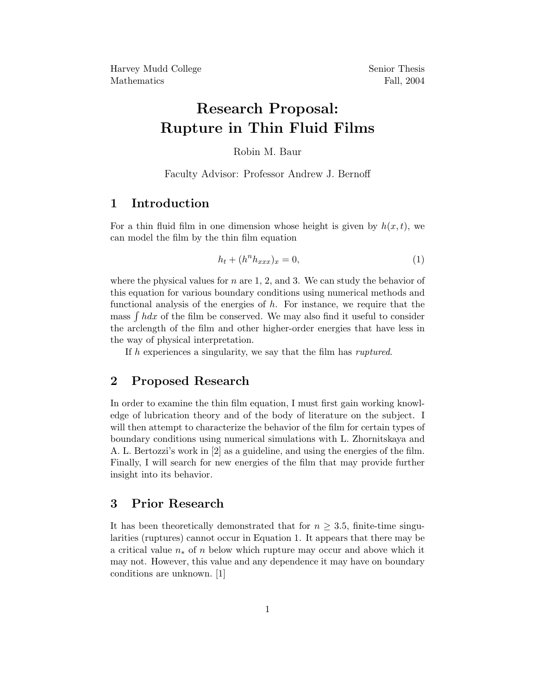Harvey Mudd College Senior Thesis Mathematics Fall, 2004

# Research Proposal: Rupture in Thin Fluid Films

Robin M. Baur

Faculty Advisor: Professor Andrew J. Bernoff

### 1 Introduction

For a thin fluid film in one dimension whose height is given by  $h(x, t)$ , we can model the film by the thin film equation

$$
h_t + (h^n h_{xxx})_x = 0,\t\t(1)
$$

where the physical values for  $n$  are 1, 2, and 3. We can study the behavior of this equation for various boundary conditions using numerical methods and functional analysis of the energies of  $h$ . For instance, we require that the mass  $\int h dx$  of the film be conserved. We may also find it useful to consider the arclength of the film and other higher-order energies that have less in the way of physical interpretation.

If h experiences a singularity, we say that the film has ruptured.

### 2 Proposed Research

In order to examine the thin film equation, I must first gain working knowledge of lubrication theory and of the body of literature on the subject. I will then attempt to characterize the behavior of the film for certain types of boundary conditions using numerical simulations with L. Zhornitskaya and A. L. Bertozzi's work in [2] as a guideline, and using the energies of the film. Finally, I will search for new energies of the film that may provide further insight into its behavior.

#### 3 Prior Research

It has been theoretically demonstrated that for  $n > 3.5$ , finite-time singularities (ruptures) cannot occur in Equation 1. It appears that there may be a critical value  $n_*$  of n below which rupture may occur and above which it may not. However, this value and any dependence it may have on boundary conditions are unknown. [1]